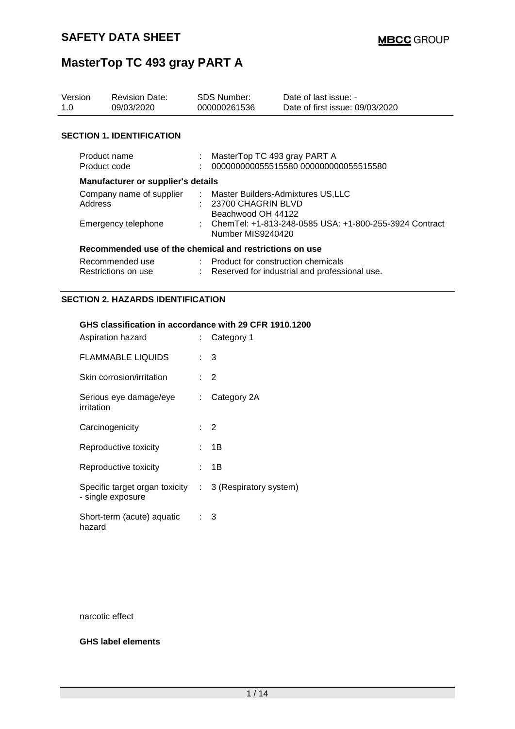| Version<br>1.0                                          | <b>Revision Date:</b><br>09/03/2020 |  | <b>SDS Number:</b><br>000000261536                                                  | Date of last issue: -<br>Date of first issue: 09/03/2020 |  |  |
|---------------------------------------------------------|-------------------------------------|--|-------------------------------------------------------------------------------------|----------------------------------------------------------|--|--|
|                                                         | <b>SECTION 1. IDENTIFICATION</b>    |  |                                                                                     |                                                          |  |  |
|                                                         | Product name<br>Product code        |  | MasterTop TC 493 gray PART A                                                        | 000000000055515580 000000000055515580                    |  |  |
|                                                         | Manufacturer or supplier's details  |  |                                                                                     |                                                          |  |  |
| Company name of supplier<br>Address                     |                                     |  | : Master Builders-Admixtures US,LLC<br>$: 23700$ CHAGRIN BLVD<br>Beachwood OH 44122 |                                                          |  |  |
| Emergency telephone                                     |                                     |  | : ChemTel: +1-813-248-0585 USA: +1-800-255-3924 Contract<br>Number MIS9240420       |                                                          |  |  |
| Recommended use of the chemical and restrictions on use |                                     |  |                                                                                     |                                                          |  |  |
| Recommended use<br>Restrictions on use                  |                                     |  | Product for construction chemicals<br>Reserved for industrial and professional use. |                                                          |  |  |

### **SECTION 2. HAZARDS IDENTIFICATION**

#### **GHS classification in accordance with 29 CFR 1910.1200**

| Aspiration hazard                                   |      | : Category 1           |
|-----------------------------------------------------|------|------------------------|
| <b>FLAMMABLE LIQUIDS</b>                            |      | : 3                    |
| Skin corrosion/irritation                           |      | $\cdot$ 2              |
| Serious eye damage/eye<br>irritation                | t.   | Category 2A            |
| Carcinogenicity                                     |      | $\cdot$ 2              |
| Reproductive toxicity                               | t in | 1B                     |
| Reproductive toxicity                               |      | : 1B                   |
| Specific target organ toxicity<br>- single exposure | t.   | 3 (Respiratory system) |
| Short-term (acute) aquatic<br>hazard                | ٠    | 3                      |

narcotic effect

#### **GHS label elements**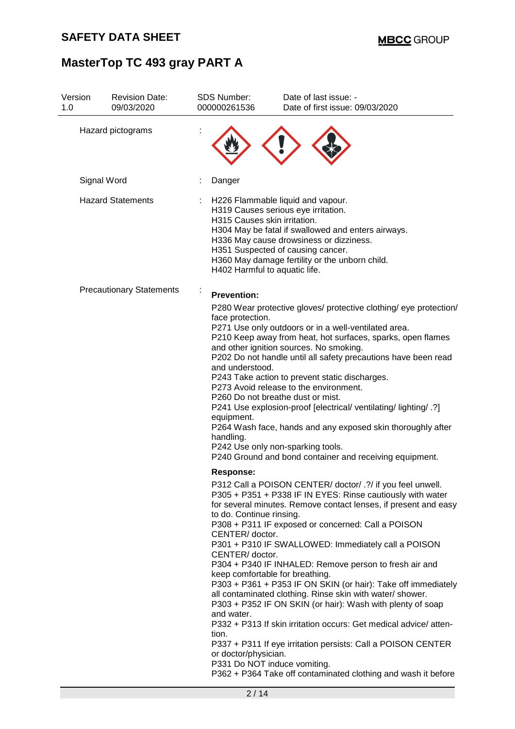| Version<br>1.0                  | <b>Revision Date:</b><br>09/03/2020 | <b>SDS Number:</b><br>000000261536                                                                                                                                                                                        | Date of last issue: -<br>Date of first issue: 09/03/2020                                                                                                                                                                                                                                                                                                                                                                                                                                                                                                                                                                                                                                                                                                                                                                                                                                                                                                                                                                                                                                                                                                                                                                                                                                                                                                                                                                                                                                                            |
|---------------------------------|-------------------------------------|---------------------------------------------------------------------------------------------------------------------------------------------------------------------------------------------------------------------------|---------------------------------------------------------------------------------------------------------------------------------------------------------------------------------------------------------------------------------------------------------------------------------------------------------------------------------------------------------------------------------------------------------------------------------------------------------------------------------------------------------------------------------------------------------------------------------------------------------------------------------------------------------------------------------------------------------------------------------------------------------------------------------------------------------------------------------------------------------------------------------------------------------------------------------------------------------------------------------------------------------------------------------------------------------------------------------------------------------------------------------------------------------------------------------------------------------------------------------------------------------------------------------------------------------------------------------------------------------------------------------------------------------------------------------------------------------------------------------------------------------------------|
|                                 | Hazard pictograms                   |                                                                                                                                                                                                                           |                                                                                                                                                                                                                                                                                                                                                                                                                                                                                                                                                                                                                                                                                                                                                                                                                                                                                                                                                                                                                                                                                                                                                                                                                                                                                                                                                                                                                                                                                                                     |
|                                 | Signal Word                         | Danger                                                                                                                                                                                                                    |                                                                                                                                                                                                                                                                                                                                                                                                                                                                                                                                                                                                                                                                                                                                                                                                                                                                                                                                                                                                                                                                                                                                                                                                                                                                                                                                                                                                                                                                                                                     |
|                                 | <b>Hazard Statements</b>            |                                                                                                                                                                                                                           | H226 Flammable liquid and vapour.<br>H319 Causes serious eye irritation.<br>H315 Causes skin irritation.<br>H304 May be fatal if swallowed and enters airways.<br>H336 May cause drowsiness or dizziness.<br>H351 Suspected of causing cancer.<br>H360 May damage fertility or the unborn child.<br>H402 Harmful to aquatic life.                                                                                                                                                                                                                                                                                                                                                                                                                                                                                                                                                                                                                                                                                                                                                                                                                                                                                                                                                                                                                                                                                                                                                                                   |
| <b>Precautionary Statements</b> |                                     | <b>Prevention:</b><br>face protection.<br>and understood.<br>equipment.<br>handling.<br><b>Response:</b><br>to do. Continue rinsing.<br>CENTER/ doctor.<br>CENTER/ doctor.<br>and water.<br>tion.<br>or doctor/physician. | P280 Wear protective gloves/ protective clothing/ eye protection/<br>P271 Use only outdoors or in a well-ventilated area.<br>P210 Keep away from heat, hot surfaces, sparks, open flames<br>and other ignition sources. No smoking.<br>P202 Do not handle until all safety precautions have been read<br>P243 Take action to prevent static discharges.<br>P273 Avoid release to the environment.<br>P260 Do not breathe dust or mist.<br>P241 Use explosion-proof [electrical/ ventilating/ lighting/ .?]<br>P264 Wash face, hands and any exposed skin thoroughly after<br>P242 Use only non-sparking tools.<br>P240 Ground and bond container and receiving equipment.<br>P312 Call a POISON CENTER/ doctor/ .?/ if you feel unwell.<br>P305 + P351 + P338 IF IN EYES: Rinse cautiously with water<br>for several minutes. Remove contact lenses, if present and easy<br>P308 + P311 IF exposed or concerned: Call a POISON<br>P301 + P310 IF SWALLOWED: Immediately call a POISON<br>P304 + P340 IF INHALED: Remove person to fresh air and<br>keep comfortable for breathing.<br>P303 + P361 + P353 IF ON SKIN (or hair): Take off immediately<br>all contaminated clothing. Rinse skin with water/ shower.<br>P303 + P352 IF ON SKIN (or hair): Wash with plenty of soap<br>P332 + P313 If skin irritation occurs: Get medical advice/atten-<br>P337 + P311 If eye irritation persists: Call a POISON CENTER<br>P331 Do NOT induce vomiting.<br>P362 + P364 Take off contaminated clothing and wash it before |
|                                 |                                     | 2/14                                                                                                                                                                                                                      |                                                                                                                                                                                                                                                                                                                                                                                                                                                                                                                                                                                                                                                                                                                                                                                                                                                                                                                                                                                                                                                                                                                                                                                                                                                                                                                                                                                                                                                                                                                     |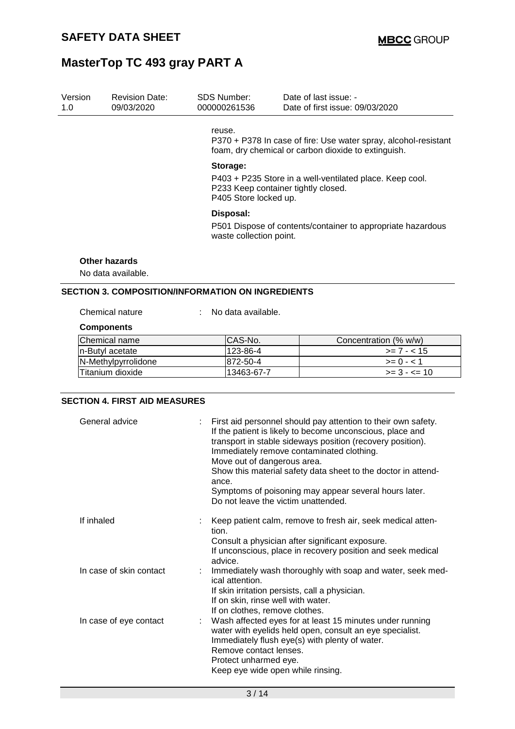| Version<br>1.0 | <b>Revision Date:</b><br>09/03/2020 | <b>SDS Number:</b><br>000000261536                                                                                                   | Date of last issue: -<br>Date of first issue: 09/03/2020                                                               |  |  |  |  |
|----------------|-------------------------------------|--------------------------------------------------------------------------------------------------------------------------------------|------------------------------------------------------------------------------------------------------------------------|--|--|--|--|
|                |                                     | reuse.                                                                                                                               | P370 + P378 In case of fire: Use water spray, alcohol-resistant<br>foam, dry chemical or carbon dioxide to extinguish. |  |  |  |  |
|                |                                     | Storage:<br>P403 + P235 Store in a well-ventilated place. Keep cool.<br>P233 Keep container tightly closed.<br>P405 Store locked up. |                                                                                                                        |  |  |  |  |
|                |                                     | Disposal:<br>P501 Dispose of contents/container to appropriate hazardous<br>waste collection point.                                  |                                                                                                                        |  |  |  |  |
|                | Other hazards<br>No data available. |                                                                                                                                      |                                                                                                                        |  |  |  |  |
|                |                                     | <b>SECTION 3. COMPOSITION/INFORMATION ON INGREDIENTS</b>                                                                             |                                                                                                                        |  |  |  |  |
|                | Chemical nature                     | No data available.                                                                                                                   |                                                                                                                        |  |  |  |  |
|                | <b>Components</b>                   |                                                                                                                                      |                                                                                                                        |  |  |  |  |
|                | Chemical name                       | CAS-No.                                                                                                                              | Concentration (% w/w)                                                                                                  |  |  |  |  |
|                | n-Butyl acetate                     | 123-86-4                                                                                                                             | $>= 7 - < 15$                                                                                                          |  |  |  |  |
|                | N-Methylpyrrolidone                 | 872-50-4                                                                                                                             | $>= 0 - 1$                                                                                                             |  |  |  |  |

Titanium dioxide 13463-67-7 >= 3 - <= 10

#### **SECTION 4. FIRST AID MEASURES**

| General advice          | First aid personnel should pay attention to their own safety.<br>If the patient is likely to become unconscious, place and<br>transport in stable sideways position (recovery position).<br>Immediately remove contaminated clothing.<br>Move out of dangerous area.<br>Show this material safety data sheet to the doctor in attend-<br>ance.<br>Symptoms of poisoning may appear several hours later.<br>Do not leave the victim unattended. |
|-------------------------|------------------------------------------------------------------------------------------------------------------------------------------------------------------------------------------------------------------------------------------------------------------------------------------------------------------------------------------------------------------------------------------------------------------------------------------------|
| If inhaled              | Keep patient calm, remove to fresh air, seek medical atten-<br>tion.<br>Consult a physician after significant exposure.<br>If unconscious, place in recovery position and seek medical                                                                                                                                                                                                                                                         |
| In case of skin contact | advice.<br>Immediately wash thoroughly with soap and water, seek med-<br>ical attention.<br>If skin irritation persists, call a physician.<br>If on skin, rinse well with water.<br>If on clothes, remove clothes.                                                                                                                                                                                                                             |
| In case of eye contact  | Wash affected eyes for at least 15 minutes under running<br>water with eyelids held open, consult an eye specialist.<br>Immediately flush eye(s) with plenty of water.<br>Remove contact lenses.<br>Protect unharmed eye.<br>Keep eye wide open while rinsing.                                                                                                                                                                                 |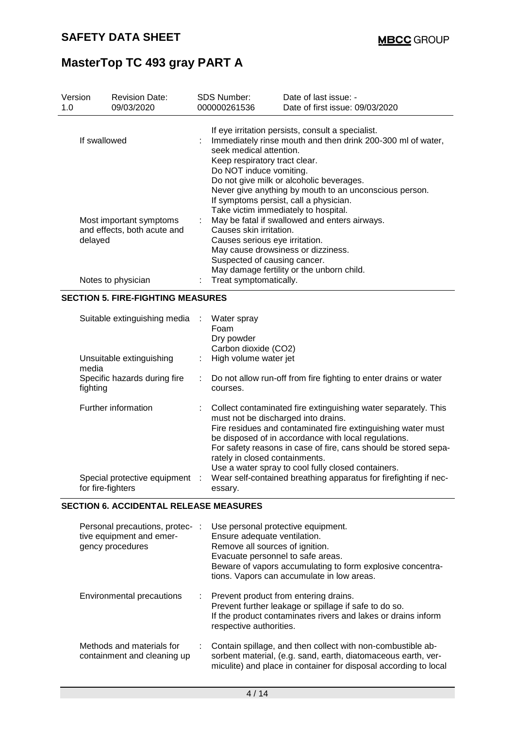| Version<br>1.0 |                   | <b>Revision Date:</b><br>09/03/2020                                          |                                                                                                                                                                                                                                                                                                                                                         | <b>SDS Number:</b><br>000000261536                                                                                                                                                                                                                                                              | Date of last issue: -<br>Date of first issue: 09/03/2020                                                                                                                                                                                                                                                        |  |  |
|----------------|-------------------|------------------------------------------------------------------------------|---------------------------------------------------------------------------------------------------------------------------------------------------------------------------------------------------------------------------------------------------------------------------------------------------------------------------------------------------------|-------------------------------------------------------------------------------------------------------------------------------------------------------------------------------------------------------------------------------------------------------------------------------------------------|-----------------------------------------------------------------------------------------------------------------------------------------------------------------------------------------------------------------------------------------------------------------------------------------------------------------|--|--|
|                | If swallowed      |                                                                              | If eye irritation persists, consult a specialist.<br>Immediately rinse mouth and then drink 200-300 ml of water,<br>seek medical attention.<br>Keep respiratory tract clear.<br>Do NOT induce vomiting.<br>Do not give milk or alcoholic beverages.<br>Never give anything by mouth to an unconscious person.<br>If symptoms persist, call a physician. |                                                                                                                                                                                                                                                                                                 |                                                                                                                                                                                                                                                                                                                 |  |  |
|                | delayed           | Most important symptoms<br>and effects, both acute and<br>Notes to physician |                                                                                                                                                                                                                                                                                                                                                         | Take victim immediately to hospital.<br>May be fatal if swallowed and enters airways.<br>Causes skin irritation.<br>Causes serious eye irritation.<br>May cause drowsiness or dizziness.<br>Suspected of causing cancer.<br>May damage fertility or the unborn child.<br>Treat symptomatically. |                                                                                                                                                                                                                                                                                                                 |  |  |
|                |                   | <b>SECTION 5. FIRE-FIGHTING MEASURES</b>                                     |                                                                                                                                                                                                                                                                                                                                                         |                                                                                                                                                                                                                                                                                                 |                                                                                                                                                                                                                                                                                                                 |  |  |
|                |                   | Suitable extinguishing media                                                 |                                                                                                                                                                                                                                                                                                                                                         | Water spray<br>Foam<br>Dry powder<br>Carbon dioxide (CO2)                                                                                                                                                                                                                                       |                                                                                                                                                                                                                                                                                                                 |  |  |
|                | media<br>fighting | Unsuitable extinguishing<br>Specific hazards during fire                     | ÷                                                                                                                                                                                                                                                                                                                                                       | High volume water jet<br>courses.                                                                                                                                                                                                                                                               | Do not allow run-off from fire fighting to enter drains or water                                                                                                                                                                                                                                                |  |  |
|                |                   | Further information                                                          |                                                                                                                                                                                                                                                                                                                                                         | must not be discharged into drains.<br>rately in closed containments.                                                                                                                                                                                                                           | Collect contaminated fire extinguishing water separately. This<br>Fire residues and contaminated fire extinguishing water must<br>be disposed of in accordance with local regulations.<br>For safety reasons in case of fire, cans should be stored sepa-<br>Use a water spray to cool fully closed containers. |  |  |
|                | for fire-fighters | Special protective equipment                                                 |                                                                                                                                                                                                                                                                                                                                                         | essary.                                                                                                                                                                                                                                                                                         | Wear self-contained breathing apparatus for firefighting if nec-                                                                                                                                                                                                                                                |  |  |

### **SECTION 6. ACCIDENTAL RELEASE MEASURES**

| Personal precautions, protec-:<br>tive equipment and emer-<br>gency procedures | Use personal protective equipment.<br>Ensure adequate ventilation.<br>Remove all sources of ignition.<br>Evacuate personnel to safe areas.<br>Beware of vapors accumulating to form explosive concentra-<br>tions. Vapors can accumulate in low areas. |
|--------------------------------------------------------------------------------|--------------------------------------------------------------------------------------------------------------------------------------------------------------------------------------------------------------------------------------------------------|
| Environmental precautions                                                      | : Prevent product from entering drains.<br>Prevent further leakage or spillage if safe to do so.<br>If the product contaminates rivers and lakes or drains inform<br>respective authorities.                                                           |
| Methods and materials for<br>containment and cleaning up                       | Contain spillage, and then collect with non-combustible ab-<br>sorbent material, (e.g. sand, earth, diatomaceous earth, ver-<br>miculite) and place in container for disposal according to local                                                       |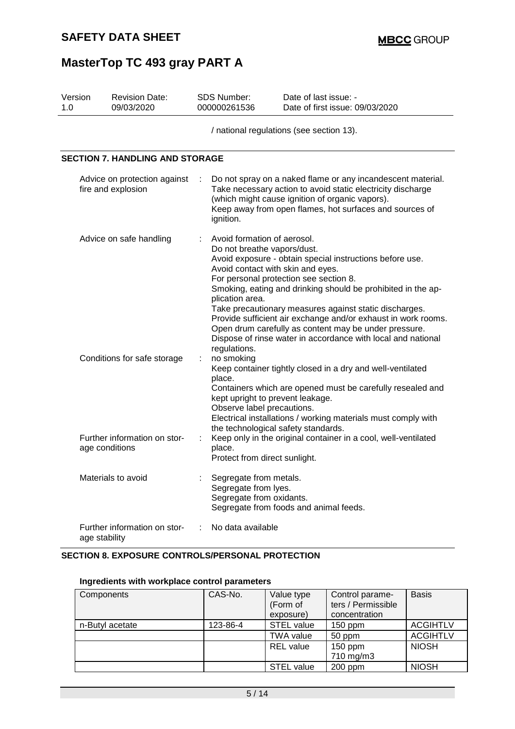| Version<br>1. $\Omega$                                 | <b>Revision Date:</b><br>09/03/2020            | SDS Number:<br>000000261536                                                                                                                                                                                                                                                                                                                                      | Date of last issue: -<br>Date of first issue: 09/03/2020                                                                                                                                                                                                                                                                                                                                                                                                                                                                                                 |  |  |  |  |
|--------------------------------------------------------|------------------------------------------------|------------------------------------------------------------------------------------------------------------------------------------------------------------------------------------------------------------------------------------------------------------------------------------------------------------------------------------------------------------------|----------------------------------------------------------------------------------------------------------------------------------------------------------------------------------------------------------------------------------------------------------------------------------------------------------------------------------------------------------------------------------------------------------------------------------------------------------------------------------------------------------------------------------------------------------|--|--|--|--|
|                                                        |                                                |                                                                                                                                                                                                                                                                                                                                                                  | / national regulations (see section 13).                                                                                                                                                                                                                                                                                                                                                                                                                                                                                                                 |  |  |  |  |
|                                                        | <b>SECTION 7. HANDLING AND STORAGE</b>         |                                                                                                                                                                                                                                                                                                                                                                  |                                                                                                                                                                                                                                                                                                                                                                                                                                                                                                                                                          |  |  |  |  |
| Advice on protection against<br>fire and explosion     |                                                | ignition.                                                                                                                                                                                                                                                                                                                                                        | Do not spray on a naked flame or any incandescent material.<br>Take necessary action to avoid static electricity discharge<br>(which might cause ignition of organic vapors).<br>Keep away from open flames, hot surfaces and sources of                                                                                                                                                                                                                                                                                                                 |  |  |  |  |
| Advice on safe handling<br>Conditions for safe storage |                                                | Avoid formation of aerosol.<br>plication area.<br>regulations.<br>no smoking                                                                                                                                                                                                                                                                                     | Do not breathe vapors/dust.<br>Avoid exposure - obtain special instructions before use.<br>Avoid contact with skin and eyes.<br>For personal protection see section 8.<br>Smoking, eating and drinking should be prohibited in the ap-<br>Take precautionary measures against static discharges.<br>Provide sufficient air exchange and/or exhaust in work rooms.<br>Open drum carefully as content may be under pressure.<br>Dispose of rinse water in accordance with local and national<br>Keep container tightly closed in a dry and well-ventilated |  |  |  |  |
|                                                        | Further information on stor-<br>age conditions | place.<br>Containers which are opened must be carefully resealed and<br>kept upright to prevent leakage.<br>Observe label precautions.<br>Electrical installations / working materials must comply with<br>the technological safety standards.<br>Keep only in the original container in a cool, well-ventilated<br>÷<br>place.<br>Protect from direct sunlight. |                                                                                                                                                                                                                                                                                                                                                                                                                                                                                                                                                          |  |  |  |  |
|                                                        | Materials to avoid                             | Segregate from metals.<br>Segregate from lyes.<br>Segregate from oxidants.                                                                                                                                                                                                                                                                                       | Segregate from foods and animal feeds.                                                                                                                                                                                                                                                                                                                                                                                                                                                                                                                   |  |  |  |  |
|                                                        | Further information on stor-<br>age stability  | No data available                                                                                                                                                                                                                                                                                                                                                |                                                                                                                                                                                                                                                                                                                                                                                                                                                                                                                                                          |  |  |  |  |

### **SECTION 8. EXPOSURE CONTROLS/PERSONAL PROTECTION**

### **Ingredients with workplace control parameters**

| Components      | CAS-No.  | Value type<br>(Form of<br>exposure) | Control parame-<br>ters / Permissible<br>concentration | <b>Basis</b>    |
|-----------------|----------|-------------------------------------|--------------------------------------------------------|-----------------|
| n-Butyl acetate | 123-86-4 | <b>STEL value</b>                   | $150$ ppm                                              | <b>ACGIHTLV</b> |
|                 |          | <b>TWA value</b>                    | 50 ppm                                                 | <b>ACGIHTLV</b> |
|                 |          | <b>REL</b> value                    | $150$ ppm                                              | <b>NIOSH</b>    |
|                 |          |                                     | 710 mg/m3                                              |                 |
|                 |          | <b>STEL value</b>                   | 200 ppm                                                | <b>NIOSH</b>    |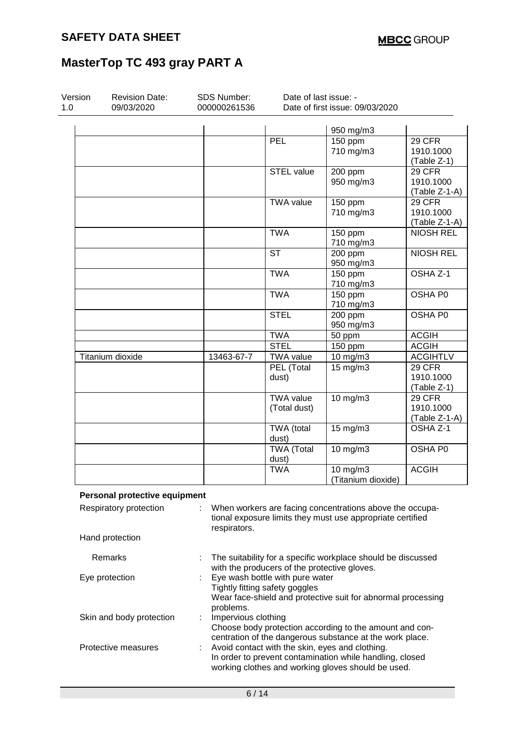| Version<br>1.0 | <b>Revision Date:</b><br>09/03/2020 | SDS Number:<br>000000261536 | Date of last issue: - | Date of first issue: 09/03/2020   |                                      |
|----------------|-------------------------------------|-----------------------------|-----------------------|-----------------------------------|--------------------------------------|
|                |                                     |                             |                       |                                   |                                      |
|                |                                     |                             |                       |                                   |                                      |
|                |                                     |                             | PEL                   | 950 mg/m3<br>$\overline{150}$ ppm | 29 CFR                               |
|                |                                     |                             |                       | 710 mg/m3                         | 1910.1000                            |
|                |                                     |                             |                       |                                   |                                      |
|                |                                     |                             |                       |                                   | (Table Z-1)                          |
|                |                                     |                             | <b>STEL value</b>     | 200 ppm                           | 29 CFR                               |
|                |                                     |                             |                       | 950 mg/m3                         | 1910.1000                            |
|                |                                     |                             |                       |                                   | (Table Z-1-A)                        |
|                |                                     |                             | <b>TWA value</b>      | 150 ppm                           | 29 CFR                               |
|                |                                     |                             |                       | 710 mg/m3                         | 1910.1000                            |
|                |                                     |                             |                       |                                   | (Table Z-1-A)                        |
|                |                                     |                             | <b>TWA</b>            | 150 ppm                           | <b>NIOSH REL</b>                     |
|                |                                     |                             |                       | 710 mg/m3                         |                                      |
|                |                                     |                             | <b>ST</b>             | 200 ppm                           | <b>NIOSH REL</b>                     |
|                |                                     |                             |                       | 950 mg/m3                         |                                      |
|                |                                     |                             | <b>TWA</b>            | $150$ ppm                         | OSHA Z-1                             |
|                |                                     |                             |                       | 710 mg/m3                         |                                      |
|                |                                     |                             | <b>TWA</b>            | 150 ppm                           | OSHA P0                              |
|                |                                     |                             |                       | 710 mg/m3                         |                                      |
|                |                                     |                             | <b>STEL</b>           | 200 ppm                           | OSHA P0                              |
|                |                                     |                             |                       | 950 mg/m3                         |                                      |
|                |                                     |                             | <b>TWA</b>            | 50 ppm                            | <b>ACGIH</b>                         |
|                |                                     |                             | <b>STEL</b>           | 150 ppm                           | <b>ACGIH</b>                         |
|                | Titanium dioxide                    | 13463-67-7                  | <b>TWA value</b>      | 10 mg/m3                          | <b>ACGIHTLV</b>                      |
|                |                                     |                             | PEL (Total            | $15 \text{ mg/m}$                 | 29 CFR                               |
|                |                                     |                             | dust)                 |                                   | 1910.1000                            |
|                |                                     |                             |                       |                                   | (Table Z-1)                          |
|                |                                     |                             | <b>TWA value</b>      | 10 mg/m3                          | 29 CFR                               |
|                |                                     |                             | (Total dust)          |                                   | 1910.1000                            |
|                |                                     |                             |                       |                                   |                                      |
|                |                                     |                             |                       |                                   | (Table Z-1-A)<br>OSHA <sub>Z-1</sub> |
|                |                                     |                             | <b>TWA</b> (total     | $15 \text{ mg/m}$                 |                                      |
|                |                                     |                             | dust)                 |                                   |                                      |
|                |                                     |                             | <b>TWA (Total</b>     | 10 mg/m3                          | OSHA P0                              |
|                |                                     |                             | dust)                 |                                   |                                      |
|                |                                     |                             | <b>TWA</b>            | $10$ mg/m $3$                     | <b>ACGIH</b>                         |
|                |                                     |                             |                       | (Titanium dioxide)                |                                      |

Hand protection

ey must use appropr respirators. Remarks : The suitability for a specific workplace should be discussed

| <b>INGHIAINS</b>         | THE SUITADILLY TOT A SPECTIC WOLFPLACE SHOULD BE UISCUSSED<br>with the producers of the protective gloves. |
|--------------------------|------------------------------------------------------------------------------------------------------------|
| Eye protection           | Eye wash bottle with pure water                                                                            |
|                          | Tightly fitting safety goggles                                                                             |
|                          | Wear face-shield and protective suit for abnormal processing                                               |
|                          | problems.                                                                                                  |
| Skin and body protection | Impervious clothing                                                                                        |
|                          | Choose body protection according to the amount and con-                                                    |
|                          | centration of the dangerous substance at the work place.                                                   |
| Protective measures      | : Avoid contact with the skin, eyes and clothing.                                                          |
|                          | In order to prevent contamination while handling, closed                                                   |
|                          | working clothes and working gloves should be used.                                                         |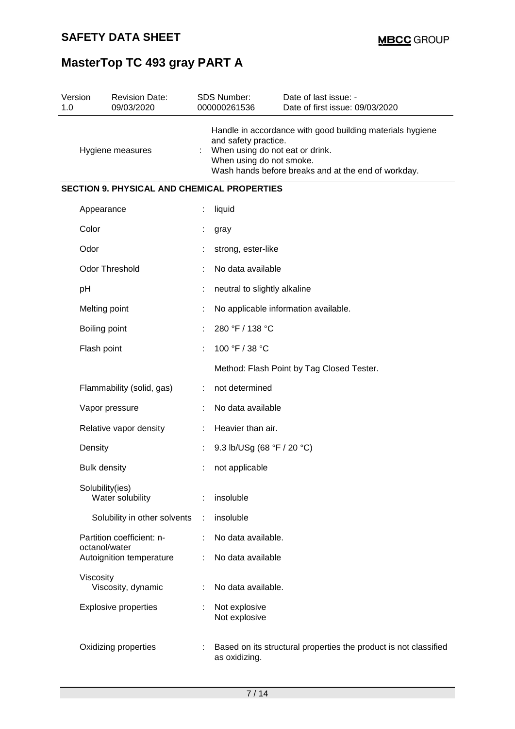| Version<br>1.0 | <b>Revision Date:</b><br>09/03/2020                | SDS Number:<br>000000261536                                                         | Date of last issue: -<br>Date of first issue: 09/03/2020                                                         |
|----------------|----------------------------------------------------|-------------------------------------------------------------------------------------|------------------------------------------------------------------------------------------------------------------|
|                | Hygiene measures                                   | and safety practice.<br>When using do not eat or drink.<br>When using do not smoke. | Handle in accordance with good building materials hygiene<br>Wash hands before breaks and at the end of workday. |
|                | <b>SECTION 9. PHYSICAL AND CHEMICAL PROPERTIES</b> |                                                                                     |                                                                                                                  |
|                | Appearance                                         | liquid                                                                              |                                                                                                                  |
|                | Color                                              | gray                                                                                |                                                                                                                  |
|                | Odor                                               | strong, ester-like                                                                  |                                                                                                                  |
|                | <b>Odor Threshold</b>                              | No data available                                                                   |                                                                                                                  |
|                | рH                                                 | neutral to slightly alkaline                                                        |                                                                                                                  |
|                | Melting point                                      |                                                                                     | No applicable information available.                                                                             |
|                | Boiling point                                      | 280 °F / 138 °C                                                                     |                                                                                                                  |
|                | Flash point                                        | 100 °F / 38 °C                                                                      |                                                                                                                  |
|                |                                                    |                                                                                     | Method: Flash Point by Tag Closed Tester.                                                                        |
|                | Flammability (solid, gas)                          | not determined                                                                      |                                                                                                                  |
|                | Vapor pressure                                     | No data available                                                                   |                                                                                                                  |
|                | Relative vapor density                             | Heavier than air.                                                                   |                                                                                                                  |
|                | Density                                            | 9.3 lb/USg (68 °F / 20 °C)                                                          |                                                                                                                  |
|                | <b>Bulk density</b>                                | not applicable                                                                      |                                                                                                                  |
|                | Solubility(ies)<br>Water solubility                | insoluble                                                                           |                                                                                                                  |
|                | Solubility in other solvents                       | insoluble                                                                           |                                                                                                                  |
|                | Partition coefficient: n-<br>octanol/water         | No data available.                                                                  |                                                                                                                  |
|                | Autoignition temperature                           | No data available                                                                   |                                                                                                                  |
|                | Viscosity<br>Viscosity, dynamic                    | No data available.                                                                  |                                                                                                                  |
|                | <b>Explosive properties</b>                        | Not explosive<br>Not explosive                                                      |                                                                                                                  |
|                | Oxidizing properties                               | as oxidizing.                                                                       | Based on its structural properties the product is not classified                                                 |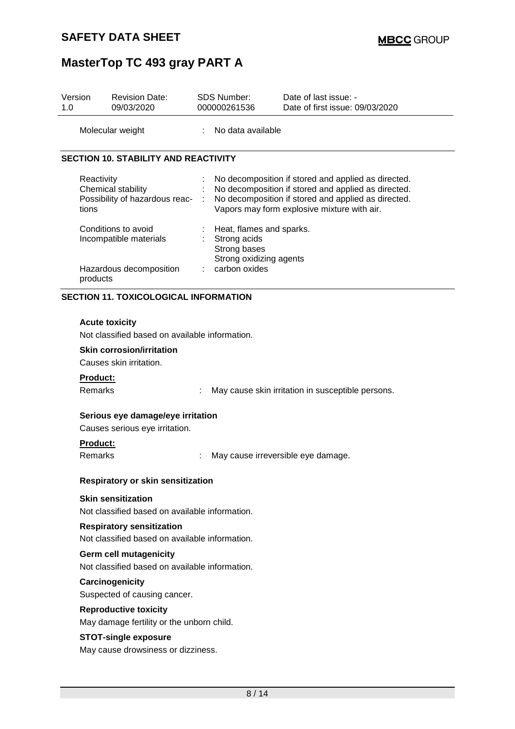| Version<br>1.0                                                                  | <b>Revision Date:</b><br>09/03/2020                                                                                                                            |                                                   | <b>SDS Number:</b><br>000000261536                       | Date of last issue: -<br>Date of first issue: 09/03/2020                                                                                                                                                         |  |  |
|---------------------------------------------------------------------------------|----------------------------------------------------------------------------------------------------------------------------------------------------------------|---------------------------------------------------|----------------------------------------------------------|------------------------------------------------------------------------------------------------------------------------------------------------------------------------------------------------------------------|--|--|
|                                                                                 | Molecular weight                                                                                                                                               |                                                   | : No data available                                      |                                                                                                                                                                                                                  |  |  |
|                                                                                 | <b>SECTION 10. STABILITY AND REACTIVITY</b>                                                                                                                    |                                                   |                                                          |                                                                                                                                                                                                                  |  |  |
|                                                                                 | Reactivity<br>Chemical stability<br>Possibility of hazardous reac-<br>tions<br>Conditions to avoid<br>Incompatible materials                                   |                                                   | Heat, flames and sparks.<br>Strong acids<br>Strong bases | No decomposition if stored and applied as directed.<br>No decomposition if stored and applied as directed.<br>No decomposition if stored and applied as directed.<br>Vapors may form explosive mixture with air. |  |  |
| Strong oxidizing agents<br>carbon oxides<br>Hazardous decomposition<br>products |                                                                                                                                                                |                                                   |                                                          |                                                                                                                                                                                                                  |  |  |
|                                                                                 | <b>SECTION 11. TOXICOLOGICAL INFORMATION</b>                                                                                                                   |                                                   |                                                          |                                                                                                                                                                                                                  |  |  |
|                                                                                 | <b>Acute toxicity</b><br>Not classified based on available information.<br><b>Skin corrosion/irritation</b><br>Causes skin irritation.                         |                                                   |                                                          |                                                                                                                                                                                                                  |  |  |
|                                                                                 | Product:                                                                                                                                                       |                                                   |                                                          |                                                                                                                                                                                                                  |  |  |
|                                                                                 | Remarks                                                                                                                                                        | May cause skin irritation in susceptible persons. |                                                          |                                                                                                                                                                                                                  |  |  |
|                                                                                 | Serious eye damage/eye irritation<br>Causes serious eye irritation.                                                                                            |                                                   |                                                          |                                                                                                                                                                                                                  |  |  |
|                                                                                 | <b>Product:</b><br>Remarks                                                                                                                                     |                                                   |                                                          | May cause irreversible eye damage.                                                                                                                                                                               |  |  |
|                                                                                 | <b>Respiratory or skin sensitization</b>                                                                                                                       |                                                   |                                                          |                                                                                                                                                                                                                  |  |  |
|                                                                                 | <b>Skin sensitization</b><br>Not classified based on available information.                                                                                    |                                                   |                                                          |                                                                                                                                                                                                                  |  |  |
|                                                                                 | <b>Respiratory sensitization</b><br>Not classified based on available information.<br>Germ cell mutagenicity<br>Not classified based on available information. |                                                   |                                                          |                                                                                                                                                                                                                  |  |  |
|                                                                                 |                                                                                                                                                                |                                                   |                                                          |                                                                                                                                                                                                                  |  |  |
|                                                                                 | Carcinogenicity<br>Suspected of causing cancer.                                                                                                                |                                                   |                                                          |                                                                                                                                                                                                                  |  |  |
|                                                                                 | <b>Reproductive toxicity</b><br>May damage fertility or the unborn child.                                                                                      |                                                   |                                                          |                                                                                                                                                                                                                  |  |  |
|                                                                                 | <b>STOT-single exposure</b><br>May cause drowsiness or dizziness.                                                                                              |                                                   |                                                          |                                                                                                                                                                                                                  |  |  |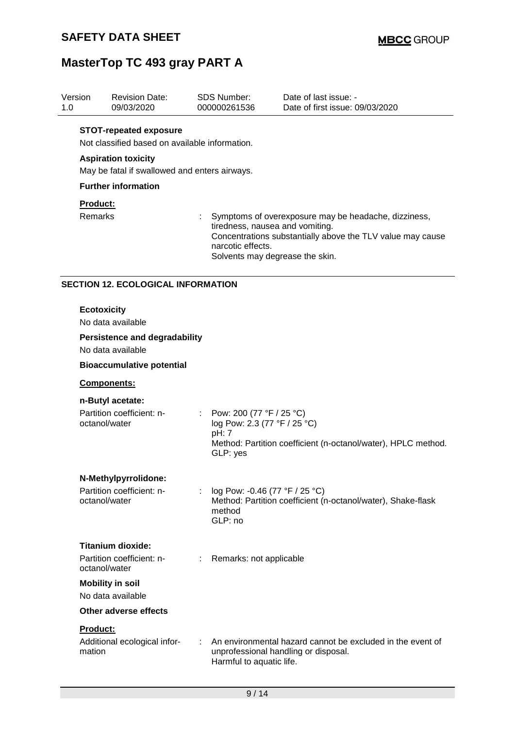| Version<br>1.0                   |                                                                                                           | <b>Revision Date:</b><br>09/03/2020                                             |   | <b>SDS Number:</b><br>000000261536                                                                                                                                                                            | Date of last issue: -<br>Date of first issue: 09/03/2020                                           |  |  |
|----------------------------------|-----------------------------------------------------------------------------------------------------------|---------------------------------------------------------------------------------|---|---------------------------------------------------------------------------------------------------------------------------------------------------------------------------------------------------------------|----------------------------------------------------------------------------------------------------|--|--|
|                                  |                                                                                                           | <b>STOT-repeated exposure</b><br>Not classified based on available information. |   |                                                                                                                                                                                                               |                                                                                                    |  |  |
|                                  | <b>Aspiration toxicity</b><br>May be fatal if swallowed and enters airways.<br><b>Further information</b> |                                                                                 |   |                                                                                                                                                                                                               |                                                                                                    |  |  |
|                                  |                                                                                                           |                                                                                 |   |                                                                                                                                                                                                               |                                                                                                    |  |  |
|                                  |                                                                                                           |                                                                                 |   |                                                                                                                                                                                                               |                                                                                                    |  |  |
|                                  | <b>Product:</b>                                                                                           |                                                                                 |   |                                                                                                                                                                                                               |                                                                                                    |  |  |
|                                  | Remarks                                                                                                   |                                                                                 |   | Symptoms of overexposure may be headache, dizziness,<br>tiredness, nausea and vomiting.<br>Concentrations substantially above the TLV value may cause<br>narcotic effects.<br>Solvents may degrease the skin. |                                                                                                    |  |  |
|                                  | <b>SECTION 12. ECOLOGICAL INFORMATION</b>                                                                 |                                                                                 |   |                                                                                                                                                                                                               |                                                                                                    |  |  |
|                                  | <b>Ecotoxicity</b>                                                                                        | No data available                                                               |   |                                                                                                                                                                                                               |                                                                                                    |  |  |
|                                  | <b>Persistence and degradability</b><br>No data available                                                 |                                                                                 |   |                                                                                                                                                                                                               |                                                                                                    |  |  |
| <b>Bioaccumulative potential</b> |                                                                                                           |                                                                                 |   |                                                                                                                                                                                                               |                                                                                                    |  |  |
|                                  | Components:<br>n-Butyl acetate:                                                                           |                                                                                 |   |                                                                                                                                                                                                               |                                                                                                    |  |  |
|                                  |                                                                                                           |                                                                                 |   |                                                                                                                                                                                                               |                                                                                                    |  |  |
|                                  |                                                                                                           | Partition coefficient: n-<br>octanol/water                                      |   | Pow: 200 (77 °F / 25 °C)<br>log Pow: 2.3 (77 °F / 25 °C)<br>pH: 7<br>GLP: yes                                                                                                                                 | Method: Partition coefficient (n-octanol/water), HPLC method.                                      |  |  |
|                                  |                                                                                                           | N-Methylpyrrolidone:                                                            |   |                                                                                                                                                                                                               |                                                                                                    |  |  |
|                                  |                                                                                                           | Partition coefficient: n-<br>octanol/water                                      |   | log Pow: -0.46 (77 °F / 25 °C)<br>method<br>GLP: no                                                                                                                                                           | Method: Partition coefficient (n-octanol/water), Shake-flask                                       |  |  |
|                                  |                                                                                                           | <b>Titanium dioxide:</b>                                                        |   |                                                                                                                                                                                                               |                                                                                                    |  |  |
|                                  |                                                                                                           | Partition coefficient: n-<br>octanol/water                                      | ÷ | Remarks: not applicable                                                                                                                                                                                       |                                                                                                    |  |  |
|                                  | <b>Mobility in soil</b><br>No data available                                                              |                                                                                 |   |                                                                                                                                                                                                               |                                                                                                    |  |  |
|                                  |                                                                                                           |                                                                                 |   |                                                                                                                                                                                                               |                                                                                                    |  |  |
|                                  |                                                                                                           | <b>Other adverse effects</b>                                                    |   |                                                                                                                                                                                                               |                                                                                                    |  |  |
|                                  | <b>Product:</b>                                                                                           |                                                                                 |   |                                                                                                                                                                                                               |                                                                                                    |  |  |
|                                  | mation                                                                                                    | Additional ecological infor-                                                    |   | Harmful to aquatic life.                                                                                                                                                                                      | An environmental hazard cannot be excluded in the event of<br>unprofessional handling or disposal. |  |  |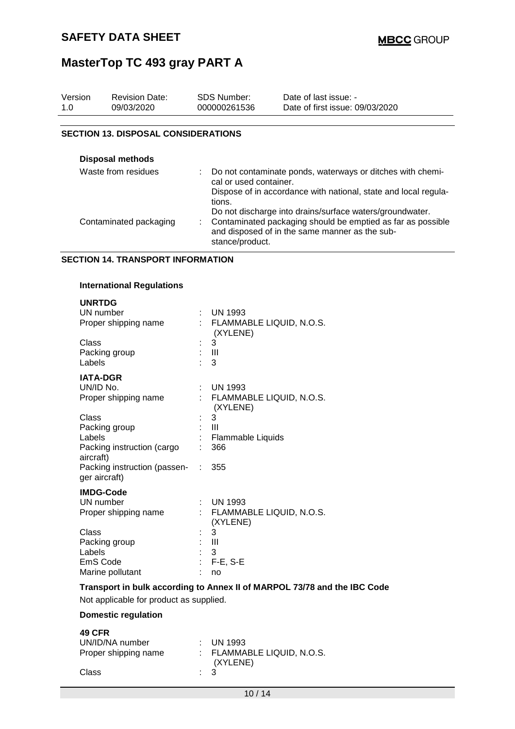| Version<br>1.0      | <b>Revision Date:</b><br>09/03/2020        | <b>SDS Number:</b><br>000000261536 | Date of last issue: -<br>Date of first issue: 09/03/2020                                                      |  |  |  |
|---------------------|--------------------------------------------|------------------------------------|---------------------------------------------------------------------------------------------------------------|--|--|--|
|                     |                                            |                                    |                                                                                                               |  |  |  |
|                     | <b>SECTION 13. DISPOSAL CONSIDERATIONS</b> |                                    |                                                                                                               |  |  |  |
|                     |                                            |                                    |                                                                                                               |  |  |  |
|                     | <b>Disposal methods</b>                    |                                    |                                                                                                               |  |  |  |
| Waste from residues |                                            |                                    | Do not contaminate ponds, waterways or ditches with chemi-<br>cal or used container.                          |  |  |  |
|                     |                                            | tions.                             | Dispose of in accordance with national, state and local regula-                                               |  |  |  |
|                     |                                            |                                    | Do not discharge into drains/surface waters/groundwater.                                                      |  |  |  |
|                     | Contaminated packaging                     |                                    | Contaminated packaging should be emptied as far as possible<br>and disposed of in the same manner as the sub- |  |  |  |

stance/product.

#### **SECTION 14. TRANSPORT INFORMATION**

#### **International Regulations**

| <b>UNRTDG</b><br>UN number<br>Proper shipping name                          | ÷  | <b>UN 1993</b><br>: FLAMMABLE LIQUID, N.O.S.<br>(XYLENE) |
|-----------------------------------------------------------------------------|----|----------------------------------------------------------|
| Class<br>Packing group<br>Labels                                            |    | 3<br>- 111<br>3                                          |
| <b>IATA-DGR</b><br>UN/ID No.<br>Proper shipping name                        | t. | <b>UN 1993</b><br>FLAMMABLE LIQUID, N.O.S.<br>(XYLENE)   |
| Class<br>Packing group<br>Labels<br>Packing instruction (cargo<br>aircraft) |    | 3<br>Ш<br>Flammable Liquids<br>366                       |
| Packing instruction (passen-<br>ger aircraft)                               | ÷  | 355                                                      |
| <b>IMDG-Code</b><br>UN number<br>Proper shipping name                       |    | $:$ UN 1993<br>: FLAMMABLE LIQUID, N.O.S.<br>(XYLENE)    |
| Class<br>Packing group<br>Labels<br>EmS Code<br>Marine pollutant            |    | 3<br>$\mathbf{III}$<br>3<br>$F-E$ , S-E<br>no            |

#### **Transport in bulk according to Annex II of MARPOL 73/78 and the IBC Code**

Not applicable for product as supplied.

#### **Domestic regulation**

### **49 CFR**

| UN/ID/NA number      |                | $\therefore$ UN 1993       |
|----------------------|----------------|----------------------------|
| Proper shipping name |                | : FLAMMABLE LIQUID, N.O.S. |
|                      |                | (XYLENE)                   |
| Class                | $\therefore$ 3 |                            |
|                      |                |                            |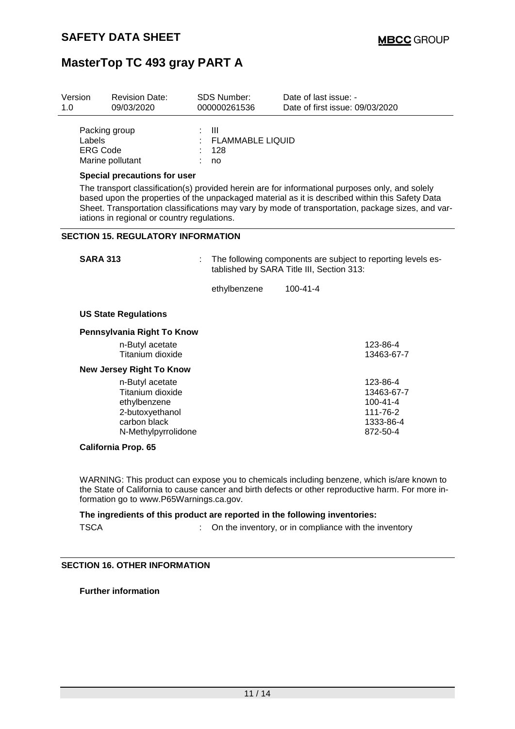| Version<br>1.0                                                                                                                                                                                                                                      | <b>Revision Date:</b><br>09/03/2020                               | <b>SDS Number:</b><br>000000261536         | Date of last issue: -<br>Date of first issue: 09/03/2020                                                  |  |
|-----------------------------------------------------------------------------------------------------------------------------------------------------------------------------------------------------------------------------------------------------|-------------------------------------------------------------------|--------------------------------------------|-----------------------------------------------------------------------------------------------------------|--|
| Labels<br><b>ERG Code</b>                                                                                                                                                                                                                           | Packing group<br>Marine pollutant<br>Special precautions for user | : III<br>: FLAMMABLE LIQUID<br>: 128<br>no | The transport classification(s) provided herein are for informational purposes only, and solely           |  |
| based upon the properties of the unpackaged material as it is described within this Safety Data<br>Sheet. Transportation classifications may vary by mode of transportation, package sizes, and var-<br>iations in regional or country regulations. |                                                                   |                                            |                                                                                                           |  |
| <b>SECTION 15. REGULATORY INFORMATION</b>                                                                                                                                                                                                           |                                                                   |                                            |                                                                                                           |  |
| <b>SARA 313</b>                                                                                                                                                                                                                                     |                                                                   |                                            | The following components are subject to reporting levels es-<br>tablished by SARA Title III, Section 313: |  |
|                                                                                                                                                                                                                                                     |                                                                   | ethylbenzene                               | $100 - 41 - 4$                                                                                            |  |
|                                                                                                                                                                                                                                                     | <b>US State Regulations</b>                                       |                                            |                                                                                                           |  |
|                                                                                                                                                                                                                                                     | Bennardus de Biolet Tell/m                                        |                                            |                                                                                                           |  |

| Pennsylvania Right To Know      |                |
|---------------------------------|----------------|
| n-Butyl acetate                 | 123-86-4       |
| Titanium dioxide                | 13463-67-7     |
| <b>New Jersey Right To Know</b> |                |
| n-Butyl acetate                 | 123-86-4       |
| Titanium dioxide                | 13463-67-7     |
| ethylbenzene                    | $100 - 41 - 4$ |
| 2-butoxyethanol                 | 111-76-2       |
| carbon black                    | 1333-86-4      |
| N-Methylpyrrolidone             | 872-50-4       |
|                                 |                |

#### **California Prop. 65**

WARNING: This product can expose you to chemicals including benzene, which is/are known to the State of California to cause cancer and birth defects or other reproductive harm. For more information go to www.P65Warnings.ca.gov.

### **The ingredients of this product are reported in the following inventories:**

TSCA : On the inventory, or in compliance with the inventory

### **SECTION 16. OTHER INFORMATION**

**Further information**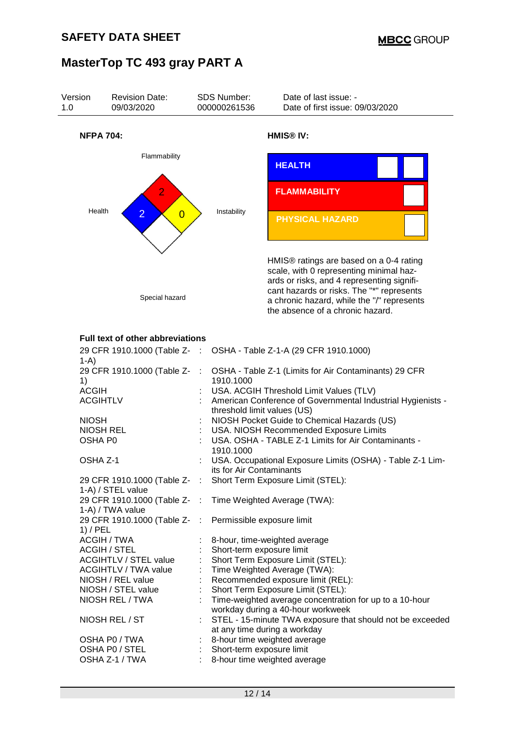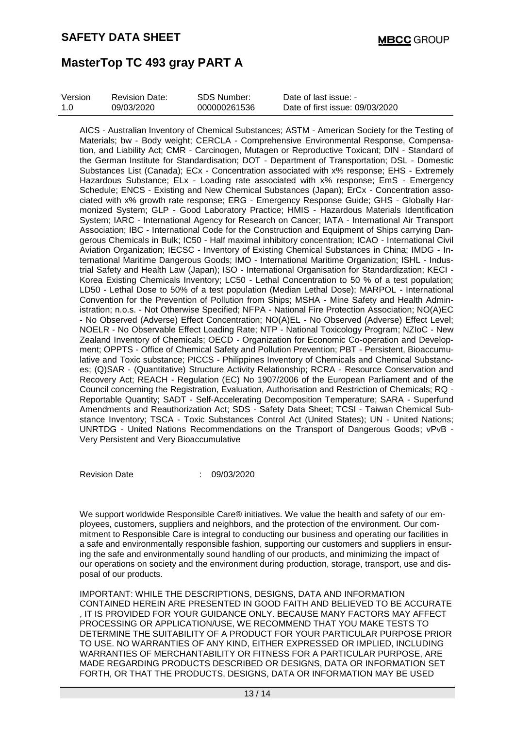| Version | <b>Revision Date:</b> | SDS Number:  | Date of last issue: -           |
|---------|-----------------------|--------------|---------------------------------|
| 1.0     | 09/03/2020            | 000000261536 | Date of first issue: 09/03/2020 |

AICS - Australian Inventory of Chemical Substances; ASTM - American Society for the Testing of Materials; bw - Body weight; CERCLA - Comprehensive Environmental Response, Compensation, and Liability Act; CMR - Carcinogen, Mutagen or Reproductive Toxicant; DIN - Standard of the German Institute for Standardisation; DOT - Department of Transportation; DSL - Domestic Substances List (Canada); ECx - Concentration associated with x% response; EHS - Extremely Hazardous Substance; ELx - Loading rate associated with x% response; EmS - Emergency Schedule; ENCS - Existing and New Chemical Substances (Japan); ErCx - Concentration associated with x% growth rate response; ERG - Emergency Response Guide; GHS - Globally Harmonized System; GLP - Good Laboratory Practice; HMIS - Hazardous Materials Identification System; IARC - International Agency for Research on Cancer; IATA - International Air Transport Association; IBC - International Code for the Construction and Equipment of Ships carrying Dangerous Chemicals in Bulk; IC50 - Half maximal inhibitory concentration; ICAO - International Civil Aviation Organization; IECSC - Inventory of Existing Chemical Substances in China; IMDG - International Maritime Dangerous Goods; IMO - International Maritime Organization; ISHL - Industrial Safety and Health Law (Japan); ISO - International Organisation for Standardization; KECI - Korea Existing Chemicals Inventory; LC50 - Lethal Concentration to 50 % of a test population; LD50 - Lethal Dose to 50% of a test population (Median Lethal Dose); MARPOL - International Convention for the Prevention of Pollution from Ships; MSHA - Mine Safety and Health Administration; n.o.s. - Not Otherwise Specified; NFPA - National Fire Protection Association; NO(A)EC - No Observed (Adverse) Effect Concentration; NO(A)EL - No Observed (Adverse) Effect Level; NOELR - No Observable Effect Loading Rate; NTP - National Toxicology Program; NZIoC - New Zealand Inventory of Chemicals; OECD - Organization for Economic Co-operation and Development; OPPTS - Office of Chemical Safety and Pollution Prevention; PBT - Persistent, Bioaccumulative and Toxic substance; PICCS - Philippines Inventory of Chemicals and Chemical Substances; (Q)SAR - (Quantitative) Structure Activity Relationship; RCRA - Resource Conservation and Recovery Act; REACH - Regulation (EC) No 1907/2006 of the European Parliament and of the Council concerning the Registration, Evaluation, Authorisation and Restriction of Chemicals; RQ - Reportable Quantity; SADT - Self-Accelerating Decomposition Temperature; SARA - Superfund Amendments and Reauthorization Act; SDS - Safety Data Sheet; TCSI - Taiwan Chemical Substance Inventory; TSCA - Toxic Substances Control Act (United States); UN - United Nations; UNRTDG - United Nations Recommendations on the Transport of Dangerous Goods; vPvB - Very Persistent and Very Bioaccumulative

Revision Date : 09/03/2020

We support worldwide Responsible Care® initiatives. We value the health and safety of our employees, customers, suppliers and neighbors, and the protection of the environment. Our commitment to Responsible Care is integral to conducting our business and operating our facilities in a safe and environmentally responsible fashion, supporting our customers and suppliers in ensuring the safe and environmentally sound handling of our products, and minimizing the impact of our operations on society and the environment during production, storage, transport, use and disposal of our products.

IMPORTANT: WHILE THE DESCRIPTIONS, DESIGNS, DATA AND INFORMATION CONTAINED HEREIN ARE PRESENTED IN GOOD FAITH AND BELIEVED TO BE ACCURATE , IT IS PROVIDED FOR YOUR GUIDANCE ONLY. BECAUSE MANY FACTORS MAY AFFECT PROCESSING OR APPLICATION/USE, WE RECOMMEND THAT YOU MAKE TESTS TO DETERMINE THE SUITABILITY OF A PRODUCT FOR YOUR PARTICULAR PURPOSE PRIOR TO USE. NO WARRANTIES OF ANY KIND, EITHER EXPRESSED OR IMPLIED, INCLUDING WARRANTIES OF MERCHANTABILITY OR FITNESS FOR A PARTICULAR PURPOSE, ARE MADE REGARDING PRODUCTS DESCRIBED OR DESIGNS, DATA OR INFORMATION SET FORTH, OR THAT THE PRODUCTS, DESIGNS, DATA OR INFORMATION MAY BE USED